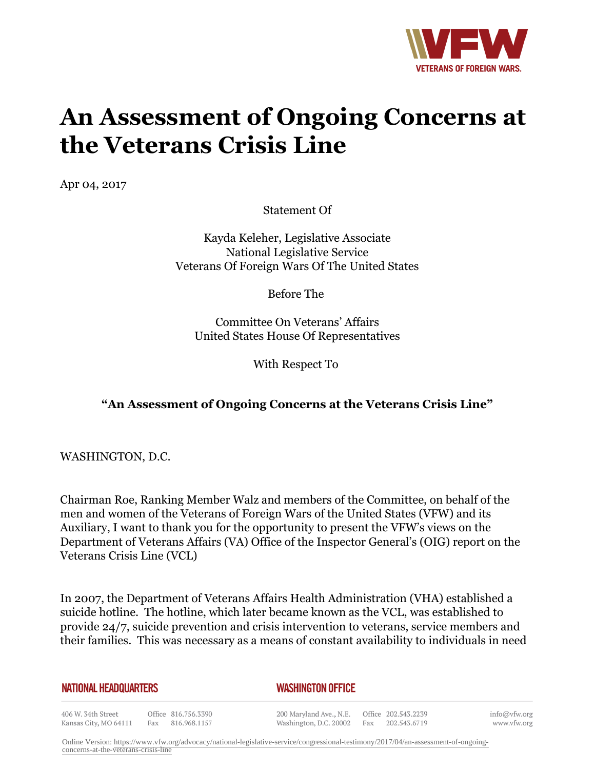

# **An Assessment of Ongoing Concerns at the Veterans Crisis Line**

Apr 04, 2017

Statement Of

Kayda Keleher, Legislative Associate National Legislative Service Veterans Of Foreign Wars Of The United States

Before The

Committee On Veterans' Affairs United States House Of Representatives

With Respect To

### **"An Assessment of Ongoing Concerns at the Veterans Crisis Line"**

WASHINGTON, D.C.

Chairman Roe, Ranking Member Walz and members of the Committee, on behalf of the men and women of the Veterans of Foreign Wars of the United States (VFW) and its Auxiliary, I want to thank you for the opportunity to present the VFW's views on the Department of Veterans Affairs (VA) Office of the Inspector General's (OIG) report on the Veterans Crisis Line (VCL)

In 2007, the Department of Veterans Affairs Health Administration (VHA) established a suicide hotline. The hotline, which later became known as the VCL, was established to provide 24/7, suicide prevention and crisis intervention to veterans, service members and their families. This was necessary as a means of constant availability to individuals in need

**NATIONAL HEADQUARTERS** 

#### *WASHINGTON OFFICE*

406 W. 34th Street Office 816.756.3390 Kansas City, MO 64111 Fax 816.968.1157

200 Maryland Ave., N.E. Washington, D.C. 20002

Office 202.543.2239 Fax 202.543.6719 info@vfw.org www.vfw.org

Online Version: [https://www.vfw.org/advocacy/national-legislative-service/congressional-testimony/2017/04/an-assessment-of-ongoing](https://www.vfw.org/advocacy/national-legislative-service/congressional-testimony/2017/04/an-assessment-of-ongoing-concerns-at-the-veterans-crisis-line)[concerns-at-the-veterans-crisis-line](https://www.vfw.org/advocacy/national-legislative-service/congressional-testimony/2017/04/an-assessment-of-ongoing-concerns-at-the-veterans-crisis-line)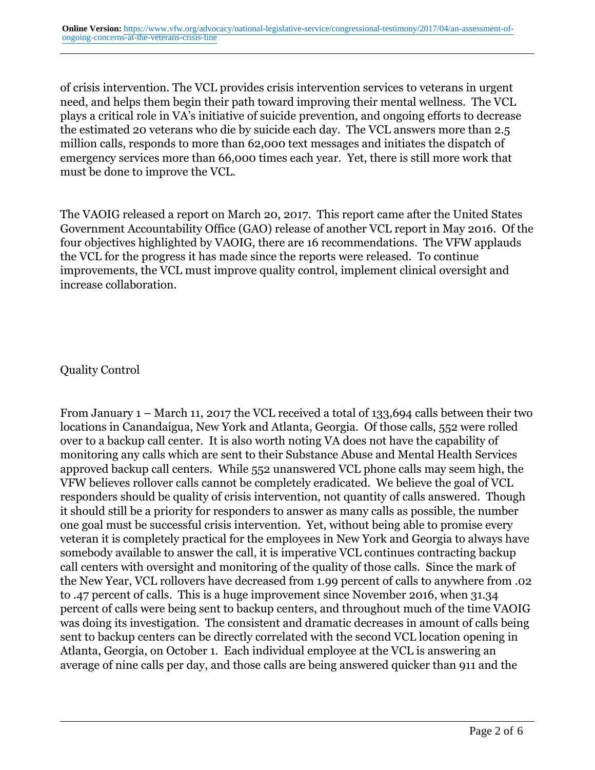of crisis intervention. The VCL provides crisis intervention services to veterans in urgent need, and helps them begin their path toward improving their mental wellness. The VCL plays a critical role in VA's initiative of suicide prevention, and ongoing efforts to decrease the estimated 20 veterans who die by suicide each day. The VCL answers more than 2.5 million calls, responds to more than 62,000 text messages and initiates the dispatch of emergency services more than 66,000 times each year. Yet, there is still more work that must be done to improve the VCL.

The VAOIG released a report on March 20, 2017. This report came after the United States Government Accountability Office (GAO) release of another VCL report in May 2016. Of the four objectives highlighted by VAOIG, there are 16 recommendations. The VFW applauds the VCL for the progress it has made since the reports were released. To continue improvements, the VCL must improve quality control, implement clinical oversight and increase collaboration.

#### Quality Control

From January 1 – March 11, 2017 the VCL received a total of 133,694 calls between their two locations in Canandaigua, New York and Atlanta, Georgia. Of those calls, 552 were rolled over to a backup call center. It is also worth noting VA does not have the capability of monitoring any calls which are sent to their Substance Abuse and Mental Health Services approved backup call centers. While 552 unanswered VCL phone calls may seem high, the VFW believes rollover calls cannot be completely eradicated. We believe the goal of VCL responders should be quality of crisis intervention, not quantity of calls answered. Though it should still be a priority for responders to answer as many calls as possible, the number one goal must be successful crisis intervention. Yet, without being able to promise every veteran it is completely practical for the employees in New York and Georgia to always have somebody available to answer the call, it is imperative VCL continues contracting backup call centers with oversight and monitoring of the quality of those calls. Since the mark of the New Year, VCL rollovers have decreased from 1.99 percent of calls to anywhere from .02 to .47 percent of calls. This is a huge improvement since November 2016, when 31.34 percent of calls were being sent to backup centers, and throughout much of the time VAOIG was doing its investigation. The consistent and dramatic decreases in amount of calls being sent to backup centers can be directly correlated with the second VCL location opening in Atlanta, Georgia, on October 1. Each individual employee at the VCL is answering an average of nine calls per day, and those calls are being answered quicker than 911 and the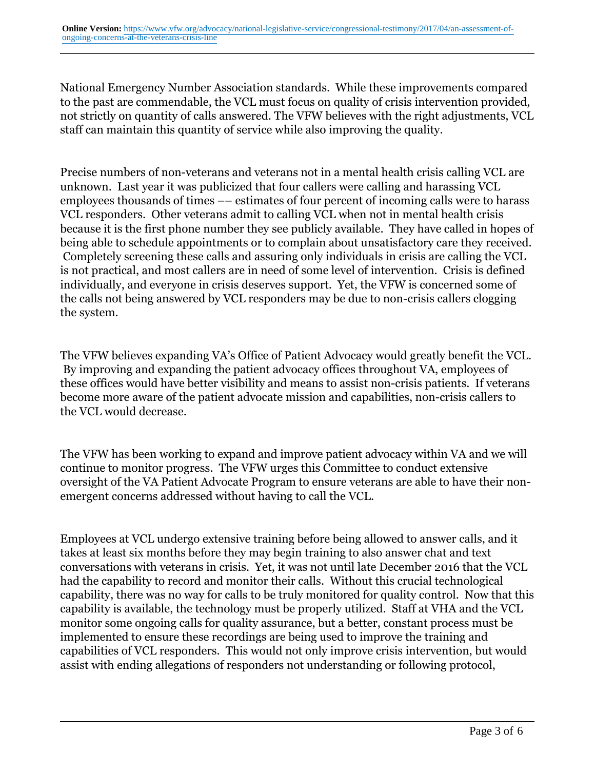National Emergency Number Association standards. While these improvements compared to the past are commendable, the VCL must focus on quality of crisis intervention provided, not strictly on quantity of calls answered. The VFW believes with the right adjustments, VCL staff can maintain this quantity of service while also improving the quality.

Precise numbers of non-veterans and veterans not in a mental health crisis calling VCL are unknown. Last year it was publicized that four callers were calling and harassing VCL employees thousands of times –– estimates of four percent of incoming calls were to harass VCL responders. Other veterans admit to calling VCL when not in mental health crisis because it is the first phone number they see publicly available. They have called in hopes of being able to schedule appointments or to complain about unsatisfactory care they received. Completely screening these calls and assuring only individuals in crisis are calling the VCL is not practical, and most callers are in need of some level of intervention. Crisis is defined individually, and everyone in crisis deserves support. Yet, the VFW is concerned some of the calls not being answered by VCL responders may be due to non-crisis callers clogging the system.

The VFW believes expanding VA's Office of Patient Advocacy would greatly benefit the VCL. By improving and expanding the patient advocacy offices throughout VA, employees of these offices would have better visibility and means to assist non-crisis patients. If veterans become more aware of the patient advocate mission and capabilities, non-crisis callers to the VCL would decrease.

The VFW has been working to expand and improve patient advocacy within VA and we will continue to monitor progress. The VFW urges this Committee to conduct extensive oversight of the VA Patient Advocate Program to ensure veterans are able to have their nonemergent concerns addressed without having to call the VCL.

Employees at VCL undergo extensive training before being allowed to answer calls, and it takes at least six months before they may begin training to also answer chat and text conversations with veterans in crisis. Yet, it was not until late December 2016 that the VCL had the capability to record and monitor their calls. Without this crucial technological capability, there was no way for calls to be truly monitored for quality control. Now that this capability is available, the technology must be properly utilized. Staff at VHA and the VCL monitor some ongoing calls for quality assurance, but a better, constant process must be implemented to ensure these recordings are being used to improve the training and capabilities of VCL responders. This would not only improve crisis intervention, but would assist with ending allegations of responders not understanding or following protocol,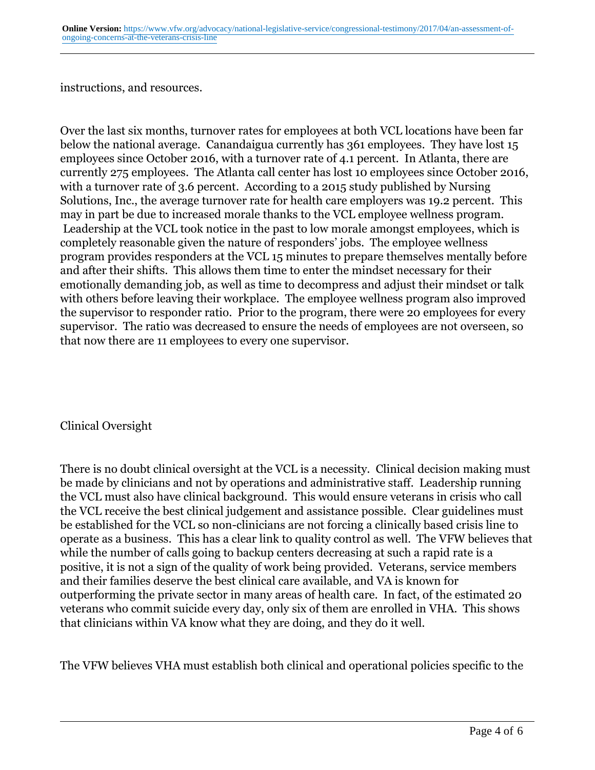instructions, and resources.

Over the last six months, turnover rates for employees at both VCL locations have been far below the national average. Canandaigua currently has 361 employees. They have lost 15 employees since October 2016, with a turnover rate of 4.1 percent. In Atlanta, there are currently 275 employees. The Atlanta call center has lost 10 employees since October 2016, with a turnover rate of 3.6 percent. According to a 2015 study published by Nursing Solutions, Inc., the average turnover rate for health care employers was 19.2 percent. This may in part be due to increased morale thanks to the VCL employee wellness program. Leadership at the VCL took notice in the past to low morale amongst employees, which is completely reasonable given the nature of responders' jobs. The employee wellness program provides responders at the VCL 15 minutes to prepare themselves mentally before and after their shifts. This allows them time to enter the mindset necessary for their emotionally demanding job, as well as time to decompress and adjust their mindset or talk with others before leaving their workplace. The employee wellness program also improved the supervisor to responder ratio. Prior to the program, there were 20 employees for every supervisor. The ratio was decreased to ensure the needs of employees are not overseen, so that now there are 11 employees to every one supervisor.

Clinical Oversight

There is no doubt clinical oversight at the VCL is a necessity. Clinical decision making must be made by clinicians and not by operations and administrative staff. Leadership running the VCL must also have clinical background. This would ensure veterans in crisis who call the VCL receive the best clinical judgement and assistance possible. Clear guidelines must be established for the VCL so non-clinicians are not forcing a clinically based crisis line to operate as a business. This has a clear link to quality control as well. The VFW believes that while the number of calls going to backup centers decreasing at such a rapid rate is a positive, it is not a sign of the quality of work being provided. Veterans, service members and their families deserve the best clinical care available, and VA is known for outperforming the private sector in many areas of health care. In fact, of the estimated 20 veterans who commit suicide every day, only six of them are enrolled in VHA. This shows that clinicians within VA know what they are doing, and they do it well.

The VFW believes VHA must establish both clinical and operational policies specific to the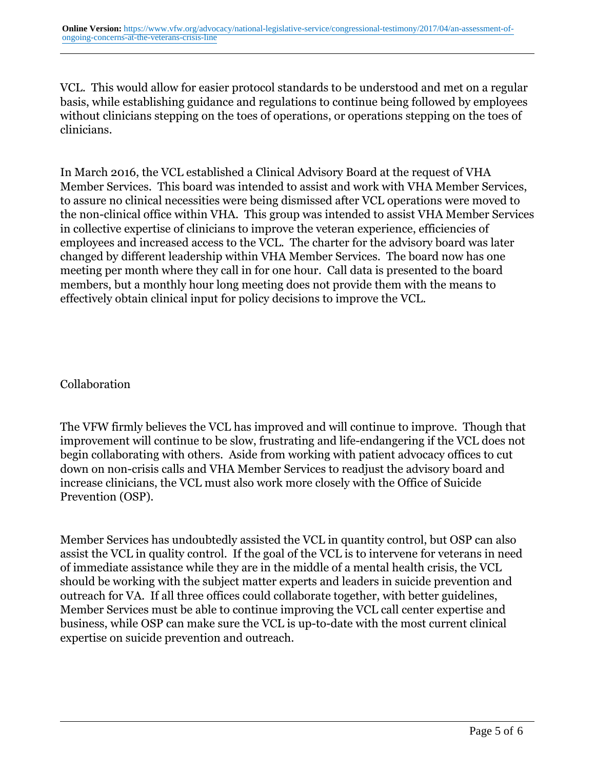VCL. This would allow for easier protocol standards to be understood and met on a regular basis, while establishing guidance and regulations to continue being followed by employees without clinicians stepping on the toes of operations, or operations stepping on the toes of clinicians.

In March 2016, the VCL established a Clinical Advisory Board at the request of VHA Member Services. This board was intended to assist and work with VHA Member Services, to assure no clinical necessities were being dismissed after VCL operations were moved to the non-clinical office within VHA. This group was intended to assist VHA Member Services in collective expertise of clinicians to improve the veteran experience, efficiencies of employees and increased access to the VCL. The charter for the advisory board was later changed by different leadership within VHA Member Services. The board now has one meeting per month where they call in for one hour. Call data is presented to the board members, but a monthly hour long meeting does not provide them with the means to effectively obtain clinical input for policy decisions to improve the VCL.

### Collaboration

The VFW firmly believes the VCL has improved and will continue to improve. Though that improvement will continue to be slow, frustrating and life-endangering if the VCL does not begin collaborating with others. Aside from working with patient advocacy offices to cut down on non-crisis calls and VHA Member Services to readjust the advisory board and increase clinicians, the VCL must also work more closely with the Office of Suicide Prevention (OSP).

Member Services has undoubtedly assisted the VCL in quantity control, but OSP can also assist the VCL in quality control. If the goal of the VCL is to intervene for veterans in need of immediate assistance while they are in the middle of a mental health crisis, the VCL should be working with the subject matter experts and leaders in suicide prevention and outreach for VA. If all three offices could collaborate together, with better guidelines, Member Services must be able to continue improving the VCL call center expertise and business, while OSP can make sure the VCL is up-to-date with the most current clinical expertise on suicide prevention and outreach.